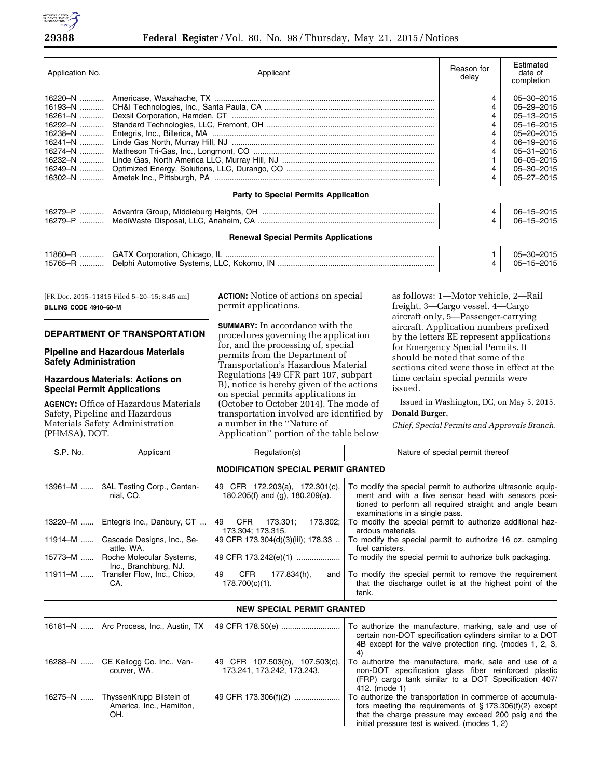

## **29388 Federal Register** / Vol. 80, No. 98 / Thursday, May 21, 2015 / Notices

| Application No. | Applicant | Reason for<br>delav | <b>Fstimated</b><br>date of<br>completion |
|-----------------|-----------|---------------------|-------------------------------------------|
|                 |           |                     | 05-30-2015                                |
|                 |           |                     | 05-29-2015                                |
| $16261 - N$     |           |                     | $05 - 13 - 2015$                          |
| 16292-N         |           |                     | $05 - 16 - 2015$                          |
|                 |           |                     | $05 - 20 - 2015$                          |
|                 |           |                     | $06 - 19 - 2015$                          |
|                 |           |                     | $05 - 31 - 2015$                          |
| 16232-N         |           |                     | $06 - 05 - 2015$                          |
|                 |           |                     | 05-30-2015                                |
|                 |           |                     | $05 - 27 - 2015$                          |

## **Party to Special Permits Application**

| 16279-<br>.<br>16279-<br> | DН<br>' Heiɑhts.<br>Middlebura<br>Group.<br>`qvar<br>nτra<br>4<br>. .<br>Anaheim<br>MediWaste<br>'Jisposal. | .<br>ነፎ |
|---------------------------|-------------------------------------------------------------------------------------------------------------|---------|
|                           |                                                                                                             |         |

#### **Renewal Special Permits Applications**

| 11860-R | GATX Corporation, Chicago, IL              | $\mathbf{A}$ | 05-30-2015       |
|---------|--------------------------------------------|--------------|------------------|
| 15765-R | Delphi Automotive Svstems, LLC, Kokomo, IN |              | $05 - 15 - 2015$ |
|         |                                            |              |                  |

[FR Doc. 2015–11815 Filed 5–20–15; 8:45 am] **BILLING CODE 4910–60–M** 

### **DEPARTMENT OF TRANSPORTATION**

### **Pipeline and Hazardous Materials Safety Administration**

# **Hazardous Materials: Actions on Special Permit Applications**

**AGENCY:** Office of Hazardous Materials Safety, Pipeline and Hazardous Materials Safety Administration (PHMSA), DOT.

**ACTION:** Notice of actions on special permit applications.

**SUMMARY:** In accordance with the procedures governing the application for, and the processing of, special permits from the Department of Transportation's Hazardous Material Regulations (49 CFR part 107, subpart B), notice is hereby given of the actions on special permits applications in (October to October 2014). The mode of transportation involved are identified by a number in the ''Nature of Application'' portion of the table below

as follows: 1—Motor vehicle, 2—Rail freight, 3—Cargo vessel, 4—Cargo aircraft only, 5—Passenger-carrying aircraft. Application numbers prefixed by the letters EE represent applications for Emergency Special Permits. It should be noted that some of the sections cited were those in effect at the time certain special permits were issued.

Issued in Washington, DC, on May 5, 2015. **Donald Burger,** 

*Chief, Special Permits and Approvals Branch.* 

| S.P. No.    | Applicant                                         | Regulation(s)                                                     | Nature of special permit thereof                                                                                                                                                                               |  |
|-------------|---------------------------------------------------|-------------------------------------------------------------------|----------------------------------------------------------------------------------------------------------------------------------------------------------------------------------------------------------------|--|
|             | <b>MODIFICATION SPECIAL PERMIT GRANTED</b>        |                                                                   |                                                                                                                                                                                                                |  |
| 13961-M     | 3AL Testing Corp., Centen-<br>nial. CO.           | 49 CFR 172.203(a), 172.301(c),<br>180.205(f) and (g), 180.209(a). | To modify the special permit to authorize ultrasonic equip-<br>ment and with a five sensor head with sensors posi-<br>tioned to perform all required straight and angle beam<br>examinations in a single pass. |  |
| 13220-M     | Entegris Inc., Danbury, CT                        | 173.302:<br><b>CFR</b><br>173.301:<br>49<br>173.304; 173.315.     | To modify the special permit to authorize additional haz-<br>ardous materials.                                                                                                                                 |  |
| 11914-M     | Cascade Designs, Inc., Se-<br>attle. WA.          | 49 CFR 173.304(d)(3)(iii); 178.33                                 | To modify the special permit to authorize 16 oz. camping<br>fuel canisters.                                                                                                                                    |  |
| 15773-M     | Roche Molecular Systems,<br>Inc., Branchburg, NJ. | 49 CFR 173.242(e)(1)                                              | To modify the special permit to authorize bulk packaging.                                                                                                                                                      |  |
| $11911 - M$ | Transfer Flow, Inc., Chico,<br>CA.                | CFR<br>177.834(h),<br>49<br>and<br>178.700(c)(1).                 | To modify the special permit to remove the requirement<br>that the discharge outlet is at the highest point of the<br>tank.                                                                                    |  |

#### **NEW SPECIAL PERMIT GRANTED**

|         | 16181–N    Arc Process, Inc., Austin, TX                    | 49 CFR 178.50(e)                                             | To authorize the manufacture, marking, sale and use of<br>certain non-DOT specification cylinders similar to a DOT<br>4B except for the valve protection ring. (modes 1, 2, 3,                                                  |
|---------|-------------------------------------------------------------|--------------------------------------------------------------|---------------------------------------------------------------------------------------------------------------------------------------------------------------------------------------------------------------------------------|
| 16288-N | CE Kellogg Co. Inc., Van-<br>couver, WA.                    | 49 CFR 107.503(b), 107.503(c),<br>173.241, 173.242, 173.243. | To authorize the manufacture, mark, sale and use of a<br>non-DOT specification glass fiber reinforced plastic<br>(FRP) cargo tank similar to a DOT Specification 407/<br>412. (mode 1)                                          |
| 16275-N | ThyssenKrupp Bilstein of<br>America, Inc., Hamilton,<br>OH. | 49 CFR 173.306(f)(2)                                         | To authorize the transportation in commerce of accumula-<br>tors meeting the requirements of $\S 173.306(f)(2)$ except<br>that the charge pressure may exceed 200 psig and the<br>initial pressure test is waived. (modes 1, 2) |